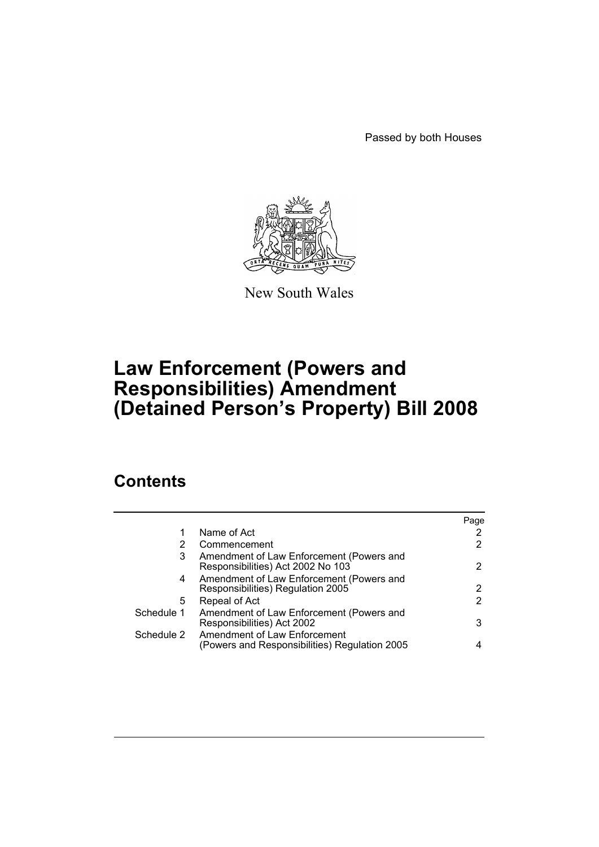Passed by both Houses



New South Wales

# **Law Enforcement (Powers and Responsibilities) Amendment (Detained Person's Property) Bill 2008**

## **Contents**

|            |                                                                               | Page |
|------------|-------------------------------------------------------------------------------|------|
| 1          | Name of Act                                                                   |      |
| 2          | Commencement                                                                  | 2    |
| 3          | Amendment of Law Enforcement (Powers and<br>Responsibilities) Act 2002 No 103 | 2    |
| 4          | Amendment of Law Enforcement (Powers and<br>Responsibilities) Regulation 2005 | 2    |
| 5.         | Repeal of Act                                                                 | 2    |
| Schedule 1 | Amendment of Law Enforcement (Powers and<br>Responsibilities) Act 2002        | 3    |
| Schedule 2 | Amendment of Law Enforcement<br>(Powers and Responsibilities) Regulation 2005 |      |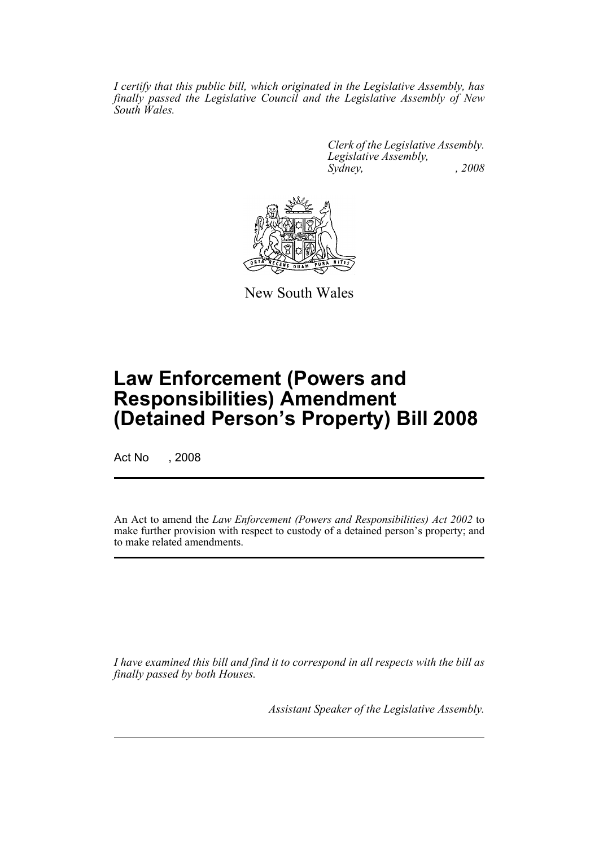*I certify that this public bill, which originated in the Legislative Assembly, has finally passed the Legislative Council and the Legislative Assembly of New South Wales.*

> *Clerk of the Legislative Assembly. Legislative Assembly, Sydney, , 2008*



New South Wales

## **Law Enforcement (Powers and Responsibilities) Amendment (Detained Person's Property) Bill 2008**

Act No , 2008

An Act to amend the *Law Enforcement (Powers and Responsibilities) Act 2002* to make further provision with respect to custody of a detained person's property; and to make related amendments.

*I have examined this bill and find it to correspond in all respects with the bill as finally passed by both Houses.*

*Assistant Speaker of the Legislative Assembly.*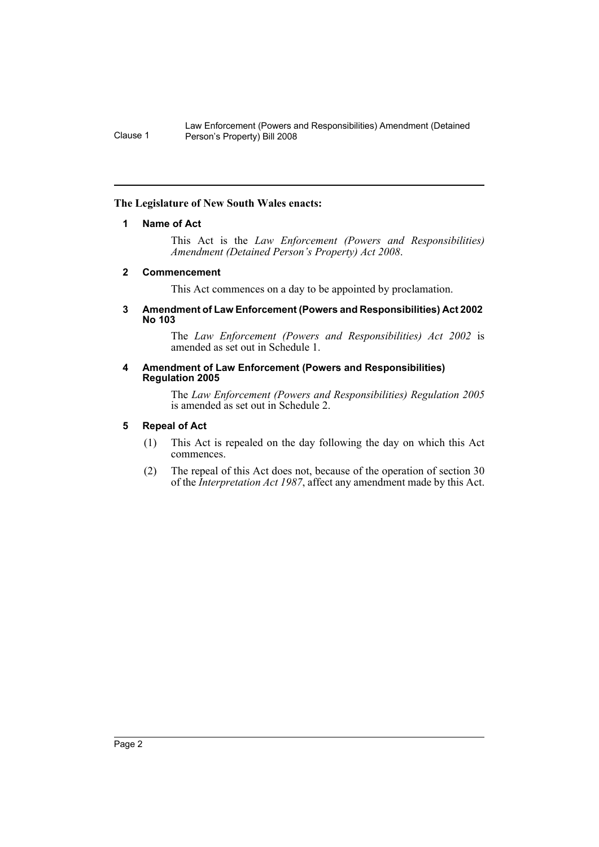Law Enforcement (Powers and Responsibilities) Amendment (Detained Clause 1 Person's Property) Bill 2008

### <span id="page-2-0"></span>**The Legislature of New South Wales enacts:**

### **1 Name of Act**

This Act is the *Law Enforcement (Powers and Responsibilities) Amendment (Detained Person's Property) Act 2008*.

### <span id="page-2-1"></span>**2 Commencement**

This Act commences on a day to be appointed by proclamation.

#### <span id="page-2-2"></span>**3 Amendment of Law Enforcement (Powers and Responsibilities) Act 2002 No 103**

The *Law Enforcement (Powers and Responsibilities) Act 2002* is amended as set out in Schedule 1.

#### <span id="page-2-3"></span>**4 Amendment of Law Enforcement (Powers and Responsibilities) Regulation 2005**

The *Law Enforcement (Powers and Responsibilities) Regulation 2005* is amended as set out in Schedule 2.

### <span id="page-2-4"></span>**5 Repeal of Act**

- (1) This Act is repealed on the day following the day on which this Act commences.
- (2) The repeal of this Act does not, because of the operation of section 30 of the *Interpretation Act 1987*, affect any amendment made by this Act.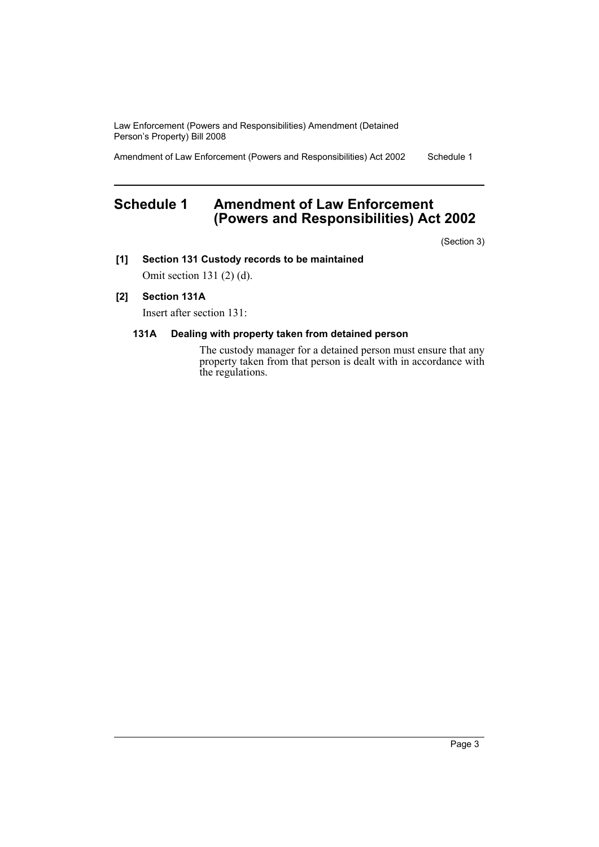Law Enforcement (Powers and Responsibilities) Amendment (Detained Person's Property) Bill 2008

Amendment of Law Enforcement (Powers and Responsibilities) Act 2002 Schedule 1

### <span id="page-3-0"></span>**Schedule 1 Amendment of Law Enforcement (Powers and Responsibilities) Act 2002**

(Section 3)

**[1] Section 131 Custody records to be maintained**

Omit section 131 (2) (d).

### **[2] Section 131A**

Insert after section 131:

### **131A Dealing with property taken from detained person**

The custody manager for a detained person must ensure that any property taken from that person is dealt with in accordance with the regulations.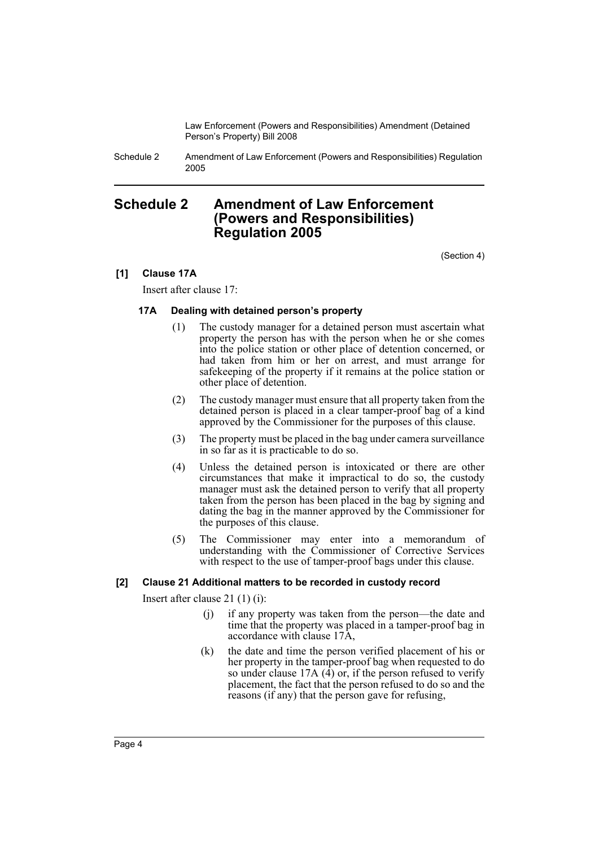Law Enforcement (Powers and Responsibilities) Amendment (Detained Person's Property) Bill 2008

Schedule 2 Amendment of Law Enforcement (Powers and Responsibilities) Regulation 2005

### <span id="page-4-0"></span>**Schedule 2 Amendment of Law Enforcement (Powers and Responsibilities) Regulation 2005**

(Section 4)

### **[1] Clause 17A**

Insert after clause 17:

### **17A Dealing with detained person's property**

- (1) The custody manager for a detained person must ascertain what property the person has with the person when he or she comes into the police station or other place of detention concerned, or had taken from him or her on arrest, and must arrange for safekeeping of the property if it remains at the police station or other place of detention.
- (2) The custody manager must ensure that all property taken from the detained person is placed in a clear tamper-proof bag of a kind approved by the Commissioner for the purposes of this clause.
- (3) The property must be placed in the bag under camera surveillance in so far as it is practicable to do so.
- (4) Unless the detained person is intoxicated or there are other circumstances that make it impractical to do so, the custody manager must ask the detained person to verify that all property taken from the person has been placed in the bag by signing and dating the bag in the manner approved by the Commissioner for the purposes of this clause.
- (5) The Commissioner may enter into a memorandum of understanding with the Commissioner of Corrective Services with respect to the use of tamper-proof bags under this clause.

### **[2] Clause 21 Additional matters to be recorded in custody record**

Insert after clause 21 (1) (i):

- (j) if any property was taken from the person—the date and time that the property was placed in a tamper-proof bag in accordance with clause 17A,
- (k) the date and time the person verified placement of his or her property in the tamper-proof bag when requested to do so under clause 17A  $(4)$  or, if the person refused to verify placement, the fact that the person refused to do so and the reasons (if any) that the person gave for refusing,